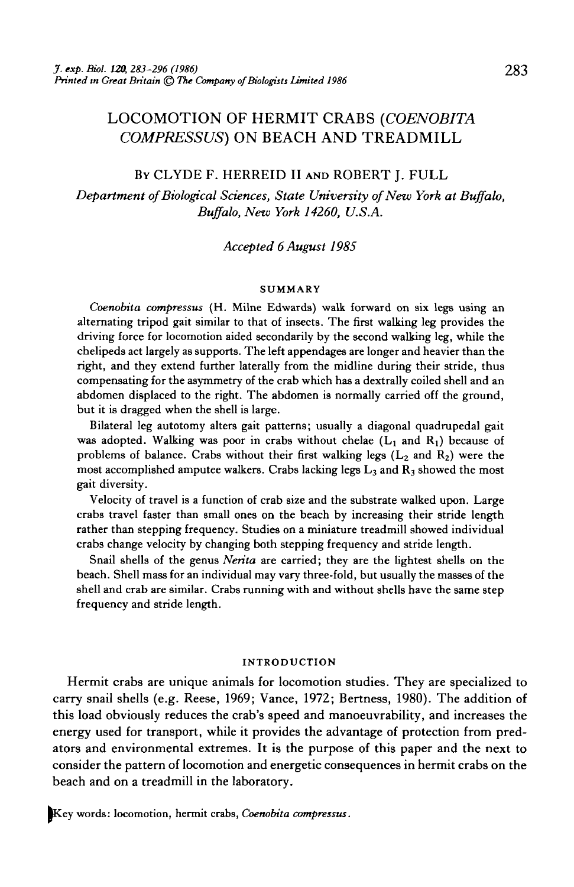# LOCOMOTION OF HERMIT CRABS *(COENOBITA COMPRESSUS)* ON BEACH AND TREADMILL

### BY CLYDE F. HERREID II AND ROBERT J. FULL

*Department of Biological Sciences, State University of New York at Buffalo, Buffalo, New York 14260, U.S.A.*

# *Accepted 6 August 1985*

#### SUMMARY

*Coenobita compressus* (H. Milne Edwards) walk forward on six legs using an alternating tripod gait similar to that of insects. The first walking leg provides the driving force for locomotion aided secondarily by the second walking leg, while the chelipeds act largely as supports. The left appendages are longer and heavier than the right, and they extend further laterally from the midline during their stride, thus compensating for the asymmetry of the crab which has a dextrally coiled shell and an abdomen displaced to the right. The abdomen is normally carried off the ground, but it is dragged when the shell is large.

Bilateral leg autotomy alters gait patterns; usually a diagonal quadrupedal gait was adopted. Walking was poor in crabs without chelae  $(L_1 \text{ and } R_1)$  because of problems of balance. Crabs without their first walking legs  $(L_2 \text{ and } R_2)$  were the most accomplished amputee walkers. Crabs lacking legs  $L_3$  and  $R_3$  showed the most gait diversity.

Velocity of travel is a function of crab size and the substrate walked upon. Large crabs travel faster than small ones on the beach by increasing their stride length rather than stepping frequency. Studies on a miniature treadmill showed individual crabs change velocity by changing both stepping frequency and stride length.

Snail shells of the genus *Nerita* are carried; they are the lightest shells on the beach. Shell mass for an individual may vary three-fold, but usually the masses of the shell and crab are similar. Crabs running with and without shells have the same step frequency and stride length.

#### INTRODUCTION

Hermit crabs are unique animals for locomotion studies. They are specialized to carry snail shells (e.g. Reese, 1969; Vance, 1972; Bertness, 1980). The addition of this load obviously reduces the crab's speed and manoeuvrability, and increases the energy used for transport, while it provides the advantage of protection from predators and environmental extremes. It is the purpose of this paper and the next to consider the pattern of locomotion and energetic consequences in hermit crabs on the beach and on a treadmill in the laboratory.

Key words: locomotion, hermit crabs, Coenobita compressus.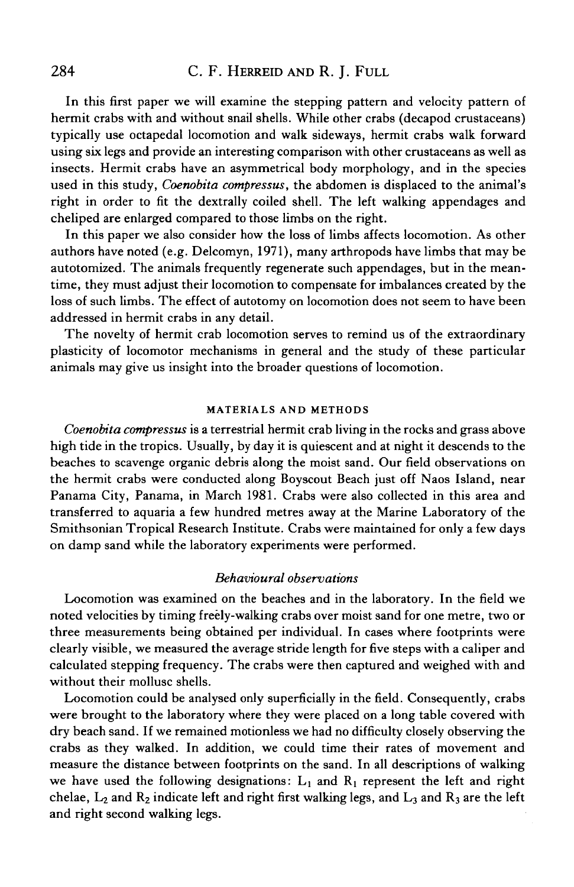In this first paper we will examine the stepping pattern and velocity pattern of hermit crabs with and without snail shells. While other crabs (decapod crustaceans) typically use octapedal locomotion and walk sideways, hermit crabs walk forward using six legs and provide an interesting comparison with other crustaceans as well as insects. Hermit crabs have an asymmetrical body morphology, and in the species used in this study, *Coenobita compressus,* the abdomen is displaced to the animal's right in order to fit the dextrally coiled shell. The left walking appendages and cheliped are enlarged compared to those limbs on the right.

In this paper we also consider how the loss of limbs affects locomotion. As other authors have noted (e.g. Delcomyn, 1971), many arthropods have limbs that may be autotomized. The animals frequently regenerate such appendages, but in the meantime, they must adjust their locomotion to compensate for imbalances created by the loss of such limbs. The effect of autotomy on locomotion does not seem to have been addressed in hermit crabs in any detail.

The novelty of hermit crab locomotion serves to remind us of the extraordinary plasticity of locomotor mechanisms in general and the study of these particular animals may give us insight into the broader questions of locomotion.

### **MATERIALS AND METHODS**

*Coenobita compressus* is a terrestrial hermit crab living in the rocks and grass above high tide in the tropics. Usually, by day it is quiescent and at night it descends to the beaches to scavenge organic debris along the moist sand. Our field observations on the hermit crabs were conducted along Boyscout Beach just off Naos Island, near Panama City, Panama, in March 1981. Crabs were also collected in this area and transferred to aquaria a few hundred metres away at the Marine Laboratory of the Smithsonian Tropical Research Institute. Crabs were maintained for only a few days on damp sand while the laboratory experiments were performed.

### *Behavioural observations*

Locomotion was examined on the beaches and in the laboratory. In the field we noted velocities by timing freely-walking crabs over moist sand for one metre, two or three measurements being obtained per individual. In cases where footprints were clearly visible, we measured the average stride length for five steps with a caliper and calculated stepping frequency. The crabs were then captured and weighed with and without their mollusc shells.

Locomotion could be analysed only superficially in the field. Consequently, crabs were brought to the laboratory where they were placed on a long table covered with dry beach sand. If we remained motionless we had no difficulty closely observing the crabs as they walked. In addition, we could time their rates of movement and measure the distance between footprints on the sand. In all descriptions of walking we have used the following designations:  $L_1$  and  $R_1$  represent the left and right chelae,  $L_2$  and  $R_2$  indicate left and right first walking legs, and  $L_3$  and  $R_3$  are the left and right second walking legs.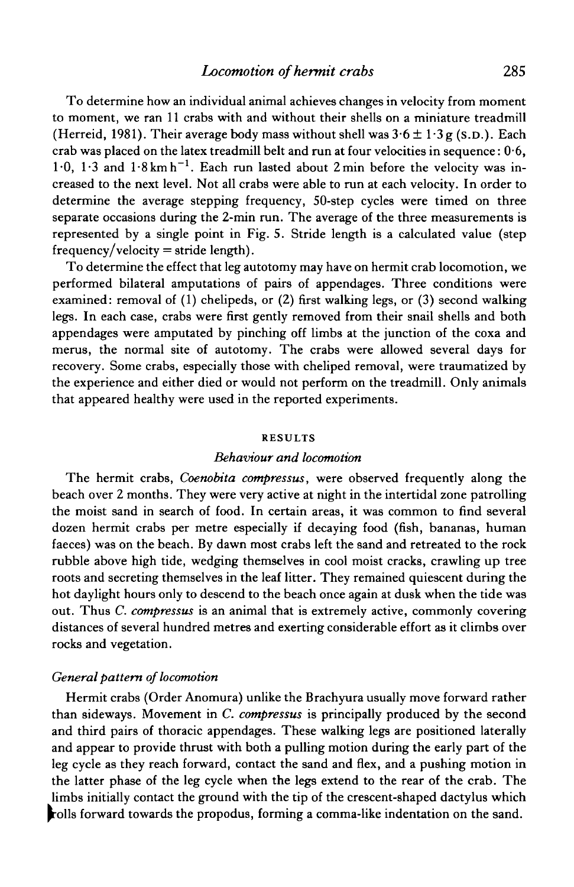To determine how an individual animal achieves changes in velocity from moment to moment, we ran 11 crabs with and without their shells on a miniature treadmill (Herreid, 1981). Their average body mass without shell was  $3.6 \pm 1.3$  g (s.p.). Each crab was placed on the latex treadmill belt and run at four velocities in sequence :  $0\!\cdot\!6,$ 1.0, 1.3 and  $1.8 \text{ km h}^{-1}$ . Each run lasted about 2 min before the velocity was increased to the next level. Not all crabs were able to run at each velocity. In order to determine the average stepping frequency, 50-step cycles were timed on three separate occasions during the 2-min run. The average of the three measurements is represented by a single point in Fig. 5. Stride length is a calculated value (step  $f$ requency/velocity = stride length).

To determine the effect that leg autotomy may have on hermit crab locomotion, we performed bilateral amputations of pairs of appendages. Three conditions were examined: removal of (1) chelipeds, or (2) first walking legs, or (3) second walking legs. In each case, crabs were first gently removed from their snail shells and both appendages were amputated by pinching off limbs at the junction of the coxa and merus, the normal site of autotomy. The crabs were allowed several days for recovery. Some crabs, especially those with cheliped removal, were traumatized by the experience and either died or would not perform on the treadmill. Only animals that appeared healthy were used in the reported experiments.

#### RESULTS

## *Behaviour and locomotion*

The hermit crabs, *Coenobita compressus,* were observed frequently along the beach over 2 months. They were very active at night in the intertidal zone patrolling the moist sand in search of food. In certain areas, it was common to find several dozen hermit crabs per metre especially if decaying food (fish, bananas, human faeces) was on the beach. By dawn most crabs left the sand and retreated to the rock rubble above high tide, wedging themselves in cool moist cracks, crawling up tree roots and secreting themselves in the leaf litter. They remained quiescent during the hot daylight hours only to descend to the beach once again at dusk when the tide was out. Thus *C. compressus* is an animal that is extremely active, commonly covering distances of several hundred metres and exerting considerable effort as it climbs over rocks and vegetation.

### *General pattern of locomotion*

Hermit crabs (Order Anomura) unlike the Brachyura usually move forward rather than sideways. Movement in *C. compressus* is principally produced by the second and third pairs of thoracic appendages. These walking legs are positioned laterally and appear to provide thrust with both a pulling motion during the early part of the leg cycle as they reach forward, contact the sand and flex, and a pushing motion in the latter phase of the leg cycle when the legs extend to the rear of the crab. The limbs initially contact the ground with the tip of the crescent-shaped dactylus which rolls forward towards the propodus, forming a comma-like indentation on the sand.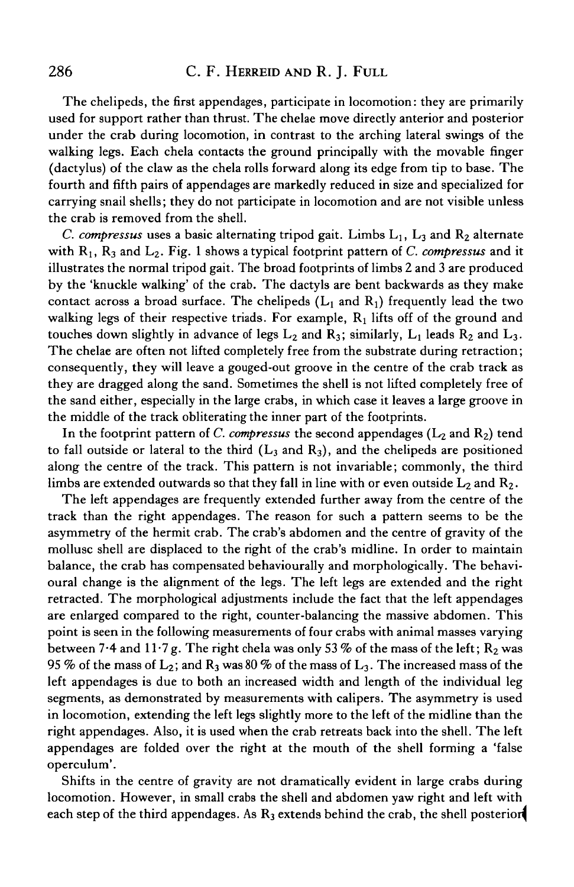The chelipeds, the first appendages, participate in locomotion: they are primarily used for support rather than thrust. The chelae move directly anterior and posterior under the crab during locomotion, in contrast to the arching lateral swings of the walking legs. Each chela contacts the ground principally with the movable finger (dactylus) of the claw as the chela rolls forward along its edge from tip to base. The fourth and fifth pairs of appendages are markedly reduced in size and specialized for carrying snail shells; they do not participate in locomotion and are not visible unless the crab is removed from the shell.

*C. compressus* uses a basic alternating tripod gait. Limbs  $L_1$ ,  $L_3$  and  $R_2$  alternate with R<sub>1</sub>, R<sub>3</sub> and L<sub>2</sub>. Fig. 1 shows a typical footprint pattern of *C. compressus* and it illustrates the normal tripod gait. The broad footprints of limbs 2 and 3 are produced by the 'knuckle walking' of the crab. The dactyls are bent backwards as they make contact across a broad surface. The chelipeds  $(L_1$  and  $R_1$ ) frequently lead the two walking legs of their respective triads. For example,  $R_1$  lifts off of the ground and touches down slightly in advance of legs  $L_2$  and  $R_3$ ; similarly,  $L_1$  leads  $R_2$  and  $L_3$ . The chelae are often not lifted completely free from the substrate during retraction; consequently, they will leave a gouged-out groove in the centre of the crab track as they are dragged along the sand. Sometimes the shell is not lifted completely free of the sand either, especially in the large crabs, in which case it leaves a large groove in the middle of the track obliterating the inner part of the footprints.

In the footprint pattern of C. compressus the second appendages  $(L_2 \text{ and } R_2)$  tend to fall outside or lateral to the third  $(L_3$  and  $R_3)$ , and the chelipeds are positioned along the centre of the track. This pattern is not invariable; commonly, the third limbs are extended outwards so that they fall in line with or even outside  $L_2$  and  $R_2$ .

The left appendages are frequently extended further away from the centre of the track than the right appendages. The reason for such a pattern seems to be the asymmetry of the hermit crab. The crab's abdomen and the centre of gravity of the mollusc shell are displaced to the right of the crab's midline. In order to maintain balance, the crab has compensated behaviourally and morphologically. The behavioural change is the alignment of the legs. The left legs are extended and the right retracted. The morphological adjustments include the fact that the left appendages are enlarged compared to the right, counter-balancing the massive abdomen. This point is seen in the following measurements of four crabs with animal masses varying between 7<sup>.</sup>4 and 11<sup>.</sup>7g. The right chela was only 53 % of the mass of the left;  $R_2$  was 95 % of the mass of  $L_2$ ; and  $R_3$  was 80 % of the mass of  $L_3$ . The increased mass of the left appendages is due to both an increased width and length of the individual leg segments, as demonstrated by measurements with calipers. The asymmetry is used in locomotion, extending the left legs slightly more to the left of the midline than the right appendages. Also, it is used when the crab retreats back into the shell. The left appendages are folded over the right at the mouth of the shell forming a 'false operculum'.

Shifts in the centre of gravity are not dramatically evident in large crabs during locomotion. However, in small crabs the shell and abdomen yaw right and left with each step of the third appendages. As  $R_3$  extends behind the crab, the shell posterior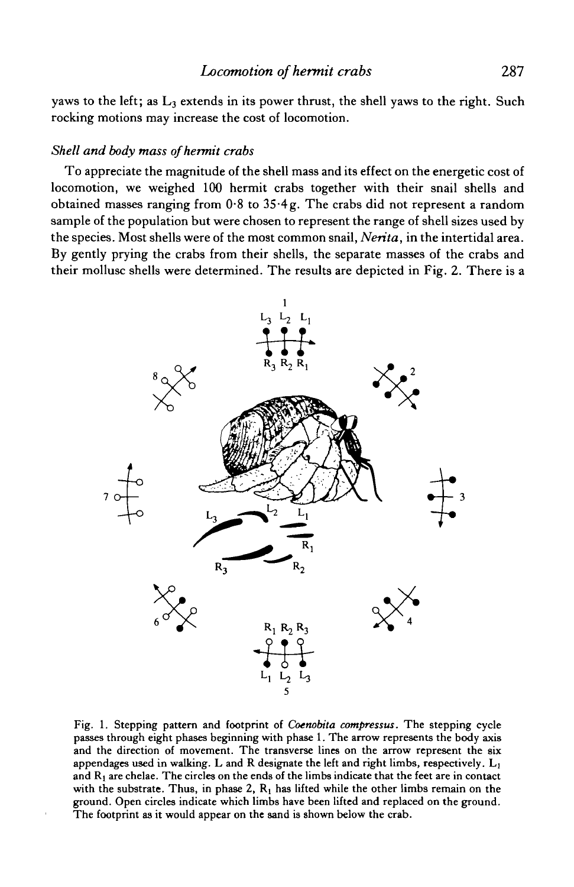yaws to the left; as  $L_3$  extends in its power thrust, the shell yaws to the right. Such rocking motions may increase the cost of locomotion.

### *Shell and body mass of hermit crabs*

To appreciate the magnitude of the shell mass and its effect on the energetic cost of locomotion, we weighed 100 hermit crabs together with their snail shells and obtained masses ranging from 0-8 to 35 4g. The crabs did not represent a random sample of the population but were chosen to represent the range of shell sizes used by the species. Most shells were of the most common snail, *Nerita,* in the intertidal area. By gently prying the crabs from their shells, the separate masses of the crabs and their mollusc shells were determined. The results are depicted in Fig. 2. There is a



Fig. 1. Stepping pattern and footprint of *Coenobita compressus.* The stepping cycle passes through eight phases beginning with phase 1. The arrow represents the body axis and the direction of movement. The transverse lines on the arrow represent the six appendages used in walking. L and R designate the left and right limbs, respectively.  $L_1$ and  $R_1$  are chelae. The circles on the ends of the limbs indicate that the feet are in contact with the substrate. Thus, in phase 2,  $R_1$  has lifted while the other limbs remain on the ground. Open circles indicate which limbs have been lifted and replaced on the ground. The footprint as it would appear on the sand is shown below the crab.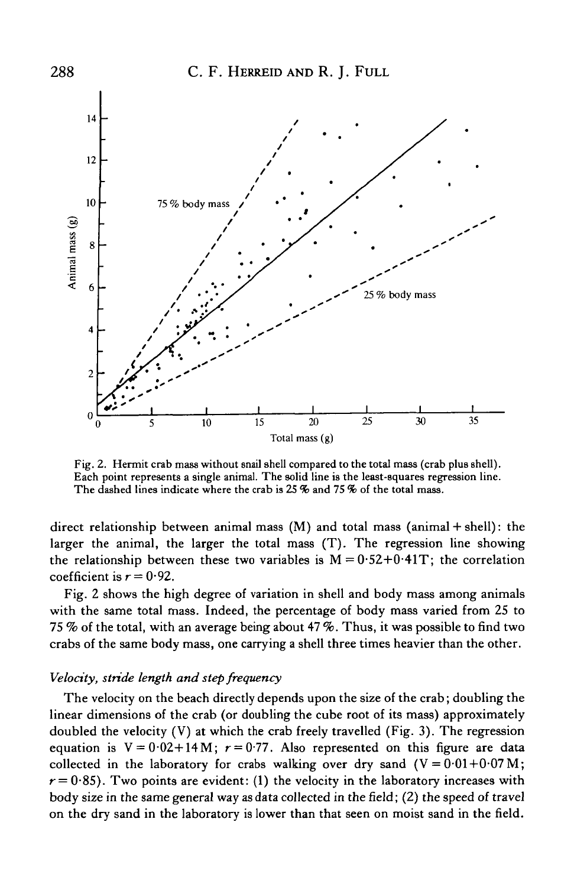

Fig. 2. Hermit crab mass without snail shell compared to the total mass (crab plus shell). Each point represents a single animal. The solid line is the least-squares regression line. The dashed lines indicate where the crab is 25 % and 75 % of the total mass.

direct relationship between animal mass (M) and total mass (animal + shell): the larger the animal, the larger the total mass (T). The regression line showing the relationship between these two variables is  $M = 0.52 + 0.41T$ ; the correlation coefficient is  $r = 0.92$ .

Fig. 2 shows the high degree of variation in shell and body mass among animals with the same total mass. Indeed, the percentage of body mass varied from 25 to 75 % of the total, with an average being about 47 %. Thus, it was possible to find two crabs of the same body mass, one carrying a shell three times heavier than the other.

# *Velocity, stride length and step frequency*

The velocity on the beach directly depends upon the size of the crab; doubling the linear dimensions of the crab (or doubling the cube root of its mass) approximately doubled the velocity (V) at which the crab freely travelled (Fig. 3). The regression equation is  $V = 0.02 + 14 M$ ;  $r = 0.77$ . Also represented on this figure are data collected in the laboratory for crabs walking over dry sand  $(V = 0.01 + 0.07 M)$ ;  $r = 0.85$ ). Two points are evident: (1) the velocity in the laboratory increases with body size in the same general way as data collected in the field; (2) the speed of travel on the dry sand in the laboratory is lower than that seen on moist sand in the field.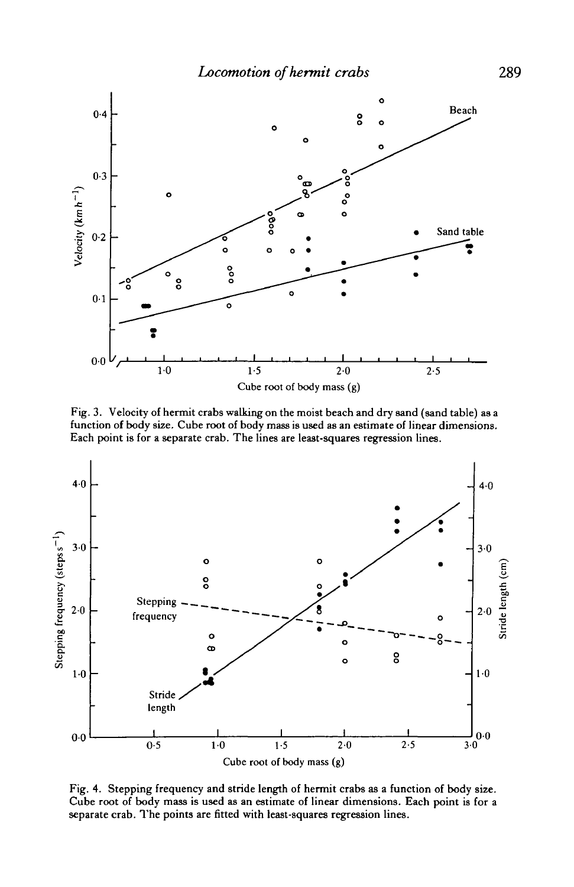

Fig. 3. Velocity of hermit crabs walking on the moist beach and dry sand (sand table) as a function of body size. Cube root of body mass is used as an estimate of linear dimensions. Each point is for a separate crab. The lines are least-squares regression lines.



Fig. 4. Stepping frequency and stride length of hermit crabs as a function of body size. Cube root of body mass is used as an estimate of linear dimensions. Each point is for a separate crab. The points are fitted with least-squares regression lines.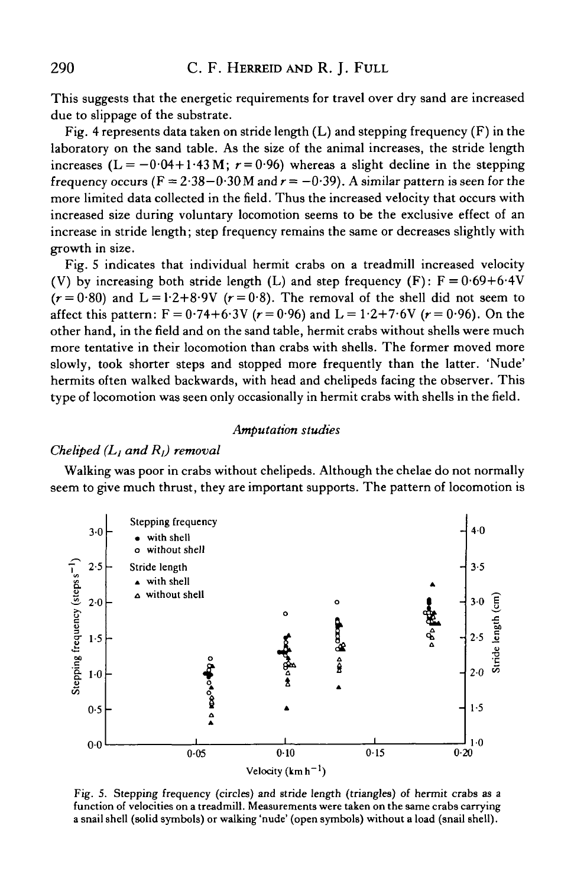This suggests that the energetic requirements for travel over dry sand are increased due to slippage of the substrate.

Fig. 4 represents data taken on stride length  $(L)$  and stepping frequency  $(F)$  in the laboratory on the sand table. As the size of the animal increases, the stride length increases ( $L = -0.04 + 1.43 M$ ;  $r = 0.96$ ) whereas a slight decline in the stepping frequency occurs ( $F = 2.38 - 0.30$  M and  $r = -0.39$ ). A similar pattern is seen for the more limited data collected in the field. Thus the increased velocity that occurs with increased size during voluntary locomotion seems to be the exclusive effect of an increase in stride length; step frequency remains the same or decreases slightly with growth in size.

Fig. 5 indicates that individual hermit crabs on a treadmill increased velocity (V) by increasing both stride length (L) and step frequency (F):  $F = 0.69 + 6.4V$  $(r=0.80)$  and  $L = 1.2+8.9V$   $(r=0.8)$ . The removal of the shell did not seem to affect this pattern:  $F = 0.74 + 6.3V$  ( $r = 0.96$ ) and  $L = 1.2 + 7.6V$  ( $r = 0.96$ ). On the other hand, in the field and on the sand table, hermit crabs without shells were much more tentative in their locomotion than crabs with shells. The former moved more slowly, took shorter steps and stopped more frequently than the latter. 'Nude' hermits often walked backwards, with head and chelipeds facing the observer. This type of locomotion was seen only occasionally in hermit crabs with shells in the field.

### *Amputation studies*

### *Cheliped (Lj and Rj) removal*

Walking was poor in crabs without chelipeds. Although the chelae do not normally seem to give much thrust, they are important supports. The pattern of locomotion is



Fig. 5. Stepping frequency (circles) and stride length (triangles) of hermit crabs as a function of velocities on a treadmill. Measurements were taken on the same crabs carrying a snail shell (solid symbols) or walking 'nude' (open symbols) without a load (snail shell).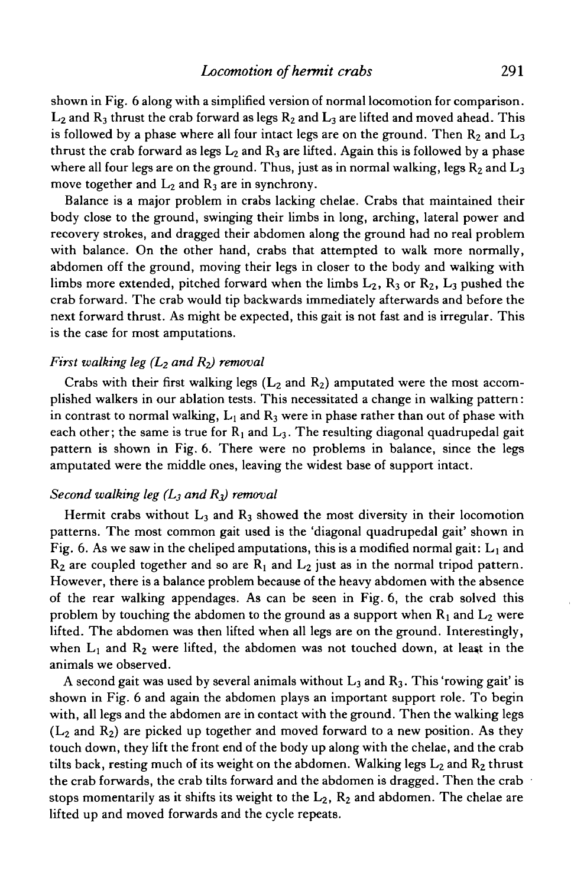shown in Fig. 6 along with a simplified version of normal locomotion for comparison.  $L_2$  and  $R_3$  thrust the crab forward as legs  $R_2$  and  $L_3$  are lifted and moved ahead. This is followed by a phase where all four intact legs are on the ground. Then  $R_2$  and  $L_3$ thrust the crab forward as legs  $L_2$  and  $R_3$  are lifted. Again this is followed by a phase where all four legs are on the ground. Thus, just as in normal walking, legs  $R_2$  and  $L_3$ move together and  $L_2$  and  $R_3$  are in synchrony.

Balance is a major problem in crabs lacking chelae. Crabs that maintained their body close to the ground, swinging their limbs in long, arching, lateral power and recovery strokes, and dragged their abdomen along the ground had no real problem with balance. On the other hand, crabs that attempted to walk more normally, abdomen off the ground, moving their legs in closer to the body and walking with limbs more extended, pitched forward when the limbs  $L_2$ ,  $R_3$  or  $R_2$ ,  $L_3$  pushed the crab forward. The crab would tip backwards immediately afterwards and before the next forward thrust. As might be expected, this gait is not fast and is irregular. This is the case for most amputations.

# *First walking leg (L2 and R2) removal*

Crabs with their first walking legs  $(L_2$  and  $R_2$ ) amputated were the most accomplished walkers in our ablation tests. This necessitated a change in walking pattern: in contrast to normal walking,  $L_1$  and  $R_3$  were in phase rather than out of phase with each other; the same is true for  $R_1$  and  $L_3$ . The resulting diagonal quadrupedal gait pattern is shown in Fig. 6. There were no problems in balance, since the legs amputated were the middle ones, leaving the widest base of support intact.

## *Second walking leg (L3 and Rj) removal*

Hermit crabs without  $L_3$  and  $R_3$  showed the most diversity in their locomotion patterns. The most common gait used is the 'diagonal quadrupedal gait' shown in Fig. 6. As we saw in the cheliped amputations, this is a modified normal gait:  $L_1$  and  $R_2$  are coupled together and so are  $R_1$  and  $L_2$  just as in the normal tripod pattern. However, there is a balance problem because of the heavy abdomen with the absence of the rear walking appendages. As can be seen in Fig. 6, the crab solved this problem by touching the abdomen to the ground as a support when  $R_1$  and  $L_2$  were lifted. The abdomen was then lifted when all legs are on the ground. Interestingly, when  $L_1$  and  $R_2$  were lifted, the abdomen was not touched down, at least in the animals we observed.

A second gait was used by several animals without  $L_3$  and  $R_3$ . This 'rowing gait' is shown in Fig. 6 and again the abdomen plays an important support role. To begin with, all legs and the abdomen are in contact with the ground. Then the walking legs  $(L<sub>2</sub>$  and  $R<sub>2</sub>$ ) are picked up together and moved forward to a new position. As they touch down, they lift the front end of the body up along with the chelae, and the crab tilts back, resting much of its weight on the abdomen. Walking legs  $L_2$  and  $R_2$  thrust the crab forwards, the crab tilts forward and the abdomen is dragged. Then the crab stops momentarily as it shifts its weight to the  $L_2$ ,  $R_2$  and abdomen. The chelae are lifted up and moved forwards and the cycle repeats.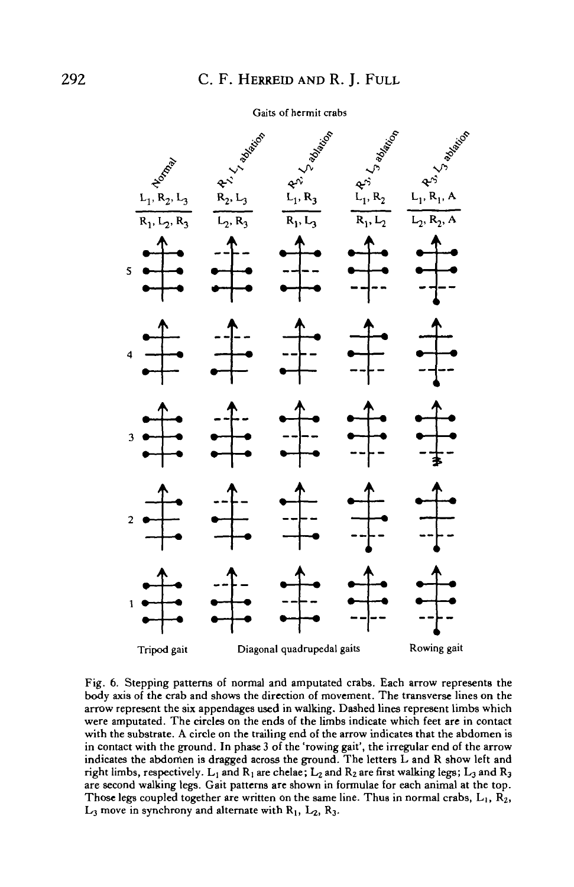#### Gaits of hermit crabs



Fig. 6. Stepping patterns of normal and amputated crabs. Each arrow represents the body axis of the crab and shows the direction of movement. The transverse lines on the arrow represent the six appendages used in walking. Dashed lines represent limbs which were amputated. The circles on the ends of the limbs indicate which feet are in contact with the substrate. A circle on the trailing end of the arrow indicates that the abdomen is in contact with the ground. In phase 3 of the 'rowing gait', the irregular end of the arrow indicates the abdomen is dragged across the ground. The letters L and R show left and right limbs, respectively.  $L_1$  and  $R_1$  are chelae;  $L_2$  and  $R_2$  are first walking legs;  $L_3$  and  $R_3$ are second walking legs. Gait patterns are shown in formulae for each animal at the top. Those legs coupled together are written on the same line. Thus in normal crabs,  $L_1$ ,  $R_2$ ,  $L_3$  move in synchrony and alternate with  $R_1$ ,  $L_2$ ,  $R_3$ .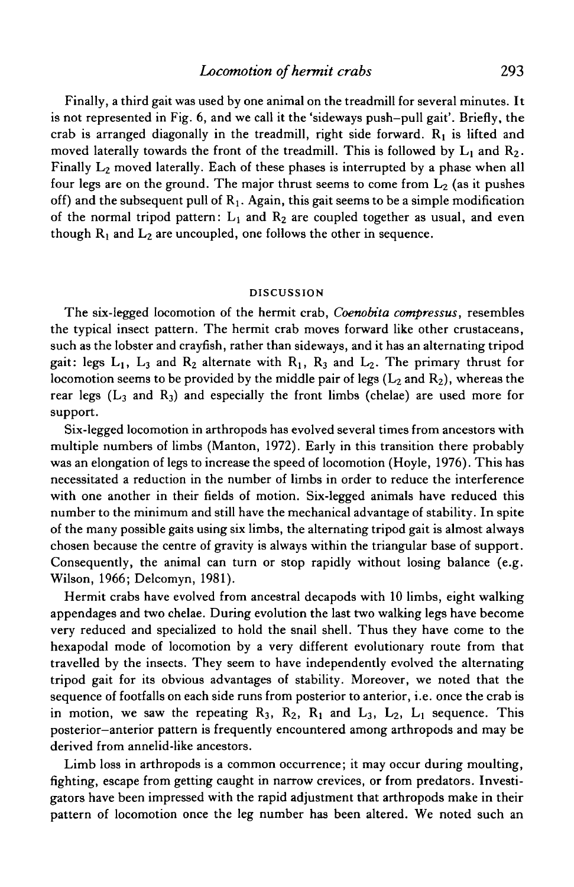Finally, a third gait was used by one animal on the treadmill for several minutes. It is not represented in Fig. 6, and we call it the 'sideways push-pull gait'. Briefly, the crab is arranged diagonally in the treadmill, right side forward.  $R_1$  is lifted and moved laterally towards the front of the treadmill. This is followed by  $L_1$  and  $R_2$ . Finally  $L_2$  moved laterally. Each of these phases is interrupted by a phase when all four legs are on the ground. The major thrust seems to come from  $L_2$  (as it pushes off) and the subsequent pull of  $R_1$ . Again, this gait seems to be a simple modification of the normal tripod pattern:  $L_1$  and  $R_2$  are coupled together as usual, and even though  $R_1$  and  $L_2$  are uncoupled, one follows the other in sequence.

#### **DISCUSSION**

The six-legged locomotion of the hermit crab, *Coenobita compressus,* resembles the typical insect pattern. The hermit crab moves forward like other crustaceans, such as the lobster and crayfish, rather than sideways, and it has an alternating tripod gait: legs  $L_1$ ,  $L_3$  and  $R_2$  alternate with  $R_1$ ,  $R_3$  and  $L_2$ . The primary thrust for locomotion seems to be provided by the middle pair of legs  $(L_2 \text{ and } R_2)$ , whereas the rear legs  $(L_3$  and  $R_3$ ) and especially the front limbs (chelae) are used more for support.

Six-legged locomotion in arthropods has evolved several times from ancestors with multiple numbers of limbs (Manton, 1972). Early in this transition there probably was an elongation of legs to increase the speed of locomotion (Hoyle, 1976). This has necessitated a reduction in the number of limbs in order to reduce the interference with one another in their fields of motion. Six-legged animals have reduced this number to the minimum and still have the mechanical advantage of stability. In spite of the many possible gaits using six limbs, the alternating tripod gait is almost always chosen because the centre of gravity is always within the triangular base of support. Consequently, the animal can turn or stop rapidly without losing balance (e.g. Wilson, 1966; Delcomyn, 1981).

Hermit crabs have evolved from ancestral decapods with 10 limbs, eight walking appendages and two chelae. During evolution the last two walking legs have become very reduced and specialized to hold the snail shell. Thus they have come to the hexapodal mode of locomotion by a very different evolutionary route from that travelled by the insects. They seem to have independently evolved the alternating tripod gait for its obvious advantages of stability. Moreover, we noted that the sequence of footfalls on each side runs from posterior to anterior, i.e. once the crab is in motion, we saw the repeating  $R_3$ ,  $R_2$ ,  $R_1$  and  $L_3$ ,  $L_2$ ,  $L_1$  sequence. This posterior-anterior pattern is frequently encountered among arthropods and may be derived from annelid-like ancestors.

Limb loss in arthropods is a common occurrence; it may occur during moulting, fighting, escape from getting caught in narrow crevices, or from predators. Investigators have been impressed with the rapid adjustment that arthropods make in their pattern of locomotion once the leg number has been altered. We noted such an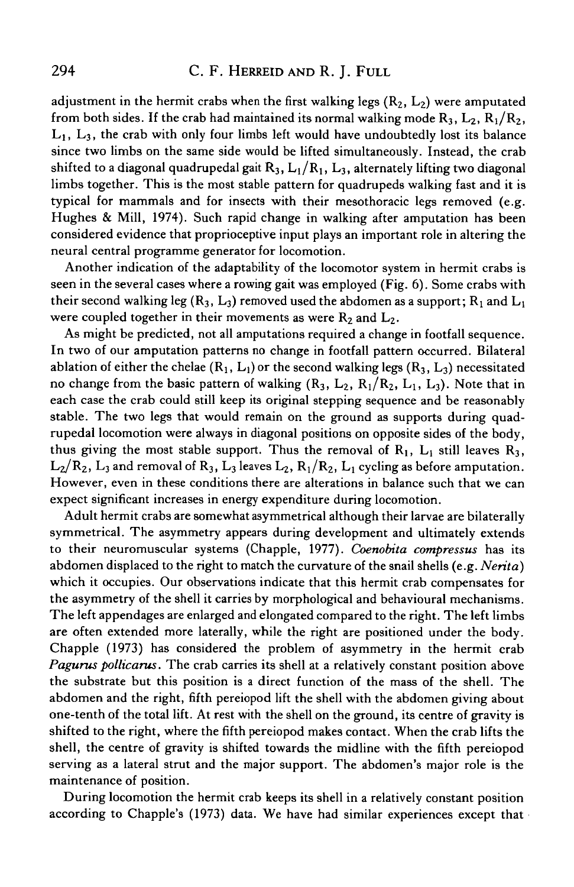# 294 C. F. HERREID AND R. J. FULL

adjustment in the hermit crabs when the first walking legs  $(R_2, L_2)$  were amputated from both sides. If the crab had maintained its normal walking mode  $R_3$ ,  $L_2$ ,  $R_1/R_2$ ,  $L_1$ ,  $L_3$ , the crab with only four limbs left would have undoubtedly lost its balance since two limbs on the same side would be lifted simultaneously. Instead, the crab shifted to a diagonal quadrupedal gait  $R_3$ ,  $L_1/R_1$ ,  $L_3$ , alternately lifting two diagonal limbs together. This is the most stable pattern for quadrupeds walking fast and it is typical for mammals and for insects with their mesothoracic legs removed (e.g. Hughes & Mill, 1974). Such rapid change in walking after amputation has been considered evidence that proprioceptive input plays an important role in altering the neural central programme generator for locomotion.

Another indication of the adaptability of the locomotor system in hermit crabs is seen in the several cases where a rowing gait was employed (Fig. 6). Some crabs with their second walking leg ( $R_3$ ,  $L_3$ ) removed used the abdomen as a support;  $R_1$  and  $L_1$ were coupled together in their movements as were  $R_2$  and  $L_2$ .

As might be predicted, not all amputations required a change in footfall sequence. In two of our amputation patterns no change in footfall pattern occurred. Bilateral ablation of either the chelae  $(R_1, L_1)$  or the second walking legs  $(R_3, L_3)$  necessitated no change from the basic pattern of walking  $(R_3, L_2, R_1/R_2, L_1, L_3)$ . Note that in each case the crab could still keep its original stepping sequence and be reasonably stable. The two legs that would remain on the ground as supports during quadrupedal locomotion were always in diagonal positions on opposite sides of the body, thus giving the most stable support. Thus the removal of  $R_1$ ,  $L_1$  still leaves  $R_3$ ,  $L_2/R_2$ ,  $L_3$  and removal of  $R_3$ ,  $L_3$  leaves  $L_2$ ,  $R_1/R_2$ ,  $L_1$  cycling as before amputation. However, even in these conditions there are alterations in balance such that we can expect significant increases in energy expenditure during locomotion.

Adult hermit crabs are somewhat asymmetrical although their larvae are bilaterally symmetrical. The asymmetry appears during development and ultimately extends to their neuromuscular systems (Chappie, 1977). *Coenobita compressus* has its abdomen displaced to the right to match the curvature of the snail shells (e.g. *Nerita)* which it occupies. Our observations indicate that this hermit crab compensates for the asymmetry of the shell it carries by morphological and behavioural mechanisms. The left appendages are enlarged and elongated compared to the right. The left limbs are often extended more laterally, while the right are positioned under the body. Chappie (1973) has considered the problem of asymmetry in the hermit crab *Pagurus pollicarus.* The crab carries its shell at a relatively constant position above the substrate but this position is a direct function of the mass of the shell. The abdomen and the right, fifth pereiopod lift the shell with the abdomen giving about one-tenth of the total lift. At rest with the shell on the ground, its centre of gravity is shifted to the right, where the fifth pereiopod makes contact. When the crab lifts the shell, the centre of gravity is shifted towards the midline with the fifth pereiopod serving as a lateral strut and the major support. The abdomen's major role is the maintenance of position.

During locomotion the hermit crab keeps its shell in a relatively constant position according to Chappie's (1973) data. We have had similar experiences except that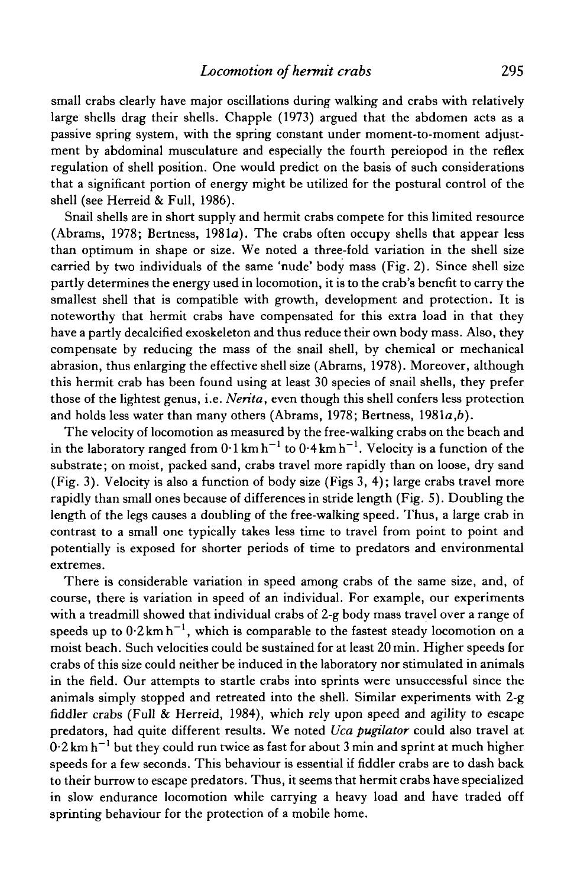small crabs clearly have major oscillations during walking and crabs with relatively large shells drag their shells. Chappie (1973) argued that the abdomen acts as a passive spring system, with the spring constant under moment-to-moment adjustment by abdominal musculature and especially the fourth pereiopod in the reflex regulation of shell position. One would predict on the basis of such considerations that a significant portion of energy might be utilized for the postural control of the shell (see Herreid & Full, 1986).

Snail shells are in short supply and hermit crabs compete for this limited resource (Abrams, 1978; Bertness, 1981a). The crabs often occupy shells that appear less than optimum in shape or size. We noted a three-fold variation in the shell size carried by two individuals of the same 'nude' body mass (Fig. 2). Since shell size partly determines the energy used in locomotion, it is to the crab's benefit to carry the smallest shell that is compatible with growth, development and protection. It is noteworthy that hermit crabs have compensated for this extra load in that they have a partly decalcified exoskeleton and thus reduce their own body mass. Also, they compensate by reducing the mass of the snail shell, by chemical or mechanical abrasion, thus enlarging the effective shell size (Abrams, 1978). Moreover, although this hermit crab has been found using at least 30 species of snail shells, they prefer those of the lightest genus, i.e. *Nerita,* even though this shell confers less protection and holds less water than many others (Abrams, 1978; Bertness, *I98la,b).*

The velocity of locomotion as measured by the free-walking crabs on the beach and in the laboratory ranged from  $0.1 \text{ km h}^{-1}$  to  $0.4 \text{ km h}^{-1}$ . Velocity is a function of the substrate; on moist, packed sand, crabs travel more rapidly than on loose, dry sand (Fig. 3). Velocity is also a function of body size (Figs 3, 4); large crabs travel more rapidly than small ones because of differences in stride length (Fig. 5). Doubling the length of the legs causes a doubling of the free-walking speed. Thus, a large crab in contrast to a small one typically takes less time to travel from point to point and potentially is exposed for shorter periods of time to predators and environmental extremes.

There is considerable variation in speed among crabs of the same size, and, of course, there is variation in speed of an individual. For example, our experiments with a treadmill showed that individual crabs of 2-g body mass travel over a range of speeds up to  $0.2 \text{ km h}^{-1}$ , which is comparable to the fastest steady locomotion on a moist beach. Such velocities could be sustained for at least 20 min. Higher speeds for crabs of this size could neither be induced in the laboratory nor stimulated in animals in the field. Our attempts to startle crabs into sprints were unsuccessful since the animals simply stopped and retreated into the shell. Similar experiments with 2-g fiddler crabs (Full & Herreid, 1984), which rely upon speed and agility to escape predators, had quite different results. We noted *Uca pugilator* could also travel at  $0.2$  km h<sup>-1</sup> but they could run twice as fast for about 3 min and sprint at much higher speeds for a few seconds. This behaviour is essential if fiddler crabs are to dash back to their burrow to escape predators. Thus, it seems that hermit crabs have specialized in slow endurance locomotion while carrying a heavy load and have traded off sprinting behaviour for the protection of a mobile home.